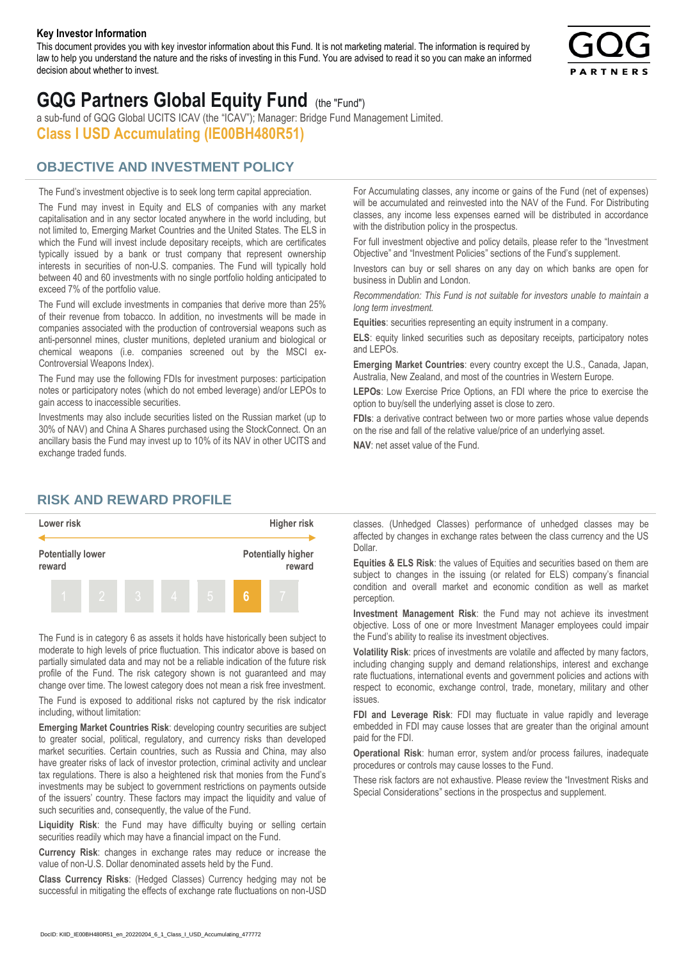#### **Key Investor Information**

This document provides you with key investor information about this Fund. It is not marketing material. The information is required by law to help you understand the nature and the risks of investing in this Fund. You are advised to read it so you can make an informed decision about whether to invest.



# **GQG Partners Global Equity Fund** (the "Fund")

a sub-fund of GQG Global UCITS ICAV (the "ICAV"); Manager: Bridge Fund Management Limited. **Class I USD Accumulating (IE00BH480R51)**

## **OBJECTIVE AND INVESTMENT POLICY**

The Fund's investment objective is to seek long term capital appreciation. The Fund may invest in Equity and ELS of companies with any market capitalisation and in any sector located anywhere in the world including, but not limited to, Emerging Market Countries and the United States. The ELS in which the Fund will invest include depositary receipts, which are certificates typically issued by a bank or trust company that represent ownership interests in securities of non-U.S. companies. The Fund will typically hold between 40 and 60 investments with no single portfolio holding anticipated to exceed 7% of the portfolio value.

The Fund will exclude investments in companies that derive more than 25% of their revenue from tobacco. In addition, no investments will be made in companies associated with the production of controversial weapons such as anti-personnel mines, cluster munitions, depleted uranium and biological or chemical weapons (i.e. companies screened out by the MSCI ex-Controversial Weapons Index).

The Fund may use the following FDIs for investment purposes: participation notes or participatory notes (which do not embed leverage) and/or LEPOs to gain access to inaccessible securities.

Investments may also include securities listed on the Russian market (up to 30% of NAV) and China A Shares purchased using the StockConnect. On an ancillary basis the Fund may invest up to 10% of its NAV in other UCITS and exchange traded funds.

For Accumulating classes, any income or gains of the Fund (net of expenses) will be accumulated and reinvested into the NAV of the Fund. For Distributing classes, any income less expenses earned will be distributed in accordance with the distribution policy in the prospectus.

For full investment objective and policy details, please refer to the "Investment Objective" and "Investment Policies" sections of the Fund's supplement.

Investors can buy or sell shares on any day on which banks are open for business in Dublin and London.

*Recommendation: This Fund is not suitable for investors unable to maintain a long term investment.*

**Equities**: securities representing an equity instrument in a company.

**ELS**: equity linked securities such as depositary receipts, participatory notes and LEPOs.

**Emerging Market Countries**: every country except the U.S., Canada, Japan, Australia, New Zealand, and most of the countries in Western Europe.

**LEPOs**: Low Exercise Price Options, an FDI where the price to exercise the option to buy/sell the underlying asset is close to zero.

**FDIs**: a derivative contract between two or more parties whose value depends on the rise and fall of the relative value/price of an underlying asset.

**NAV**: net asset value of the Fund.

### **RISK AND REWARD PROFILE**



The Fund is in category 6 as assets it holds have historically been subject to moderate to high levels of price fluctuation. This indicator above is based on partially simulated data and may not be a reliable indication of the future risk profile of the Fund. The risk category shown is not guaranteed and may change over time. The lowest category does not mean a risk free investment.

The Fund is exposed to additional risks not captured by the risk indicator including, without limitation:

**Emerging Market Countries Risk**: developing country securities are subject to greater social, political, regulatory, and currency risks than developed market securities. Certain countries, such as Russia and China, may also have greater risks of lack of investor protection, criminal activity and unclear tax regulations. There is also a heightened risk that monies from the Fund's investments may be subject to government restrictions on payments outside of the issuers' country. These factors may impact the liquidity and value of such securities and, consequently, the value of the Fund.

**Liquidity Risk**: the Fund may have difficulty buying or selling certain securities readily which may have a financial impact on the Fund.

**Currency Risk**: changes in exchange rates may reduce or increase the value of non-U.S. Dollar denominated assets held by the Fund.

**Class Currency Risks**: (Hedged Classes) Currency hedging may not be successful in mitigating the effects of exchange rate fluctuations on non-USD classes. (Unhedged Classes) performance of unhedged classes may be affected by changes in exchange rates between the class currency and the US Dollar.

**Equities & ELS Risk**: the values of Equities and securities based on them are subject to changes in the issuing (or related for ELS) company's financial condition and overall market and economic condition as well as market perception.

**Investment Management Risk**: the Fund may not achieve its investment objective. Loss of one or more Investment Manager employees could impair the Fund's ability to realise its investment objectives.

**Volatility Risk**: prices of investments are volatile and affected by many factors, including changing supply and demand relationships, interest and exchange rate fluctuations, international events and government policies and actions with respect to economic, exchange control, trade, monetary, military and other issues.

**FDI and Leverage Risk**: FDI may fluctuate in value rapidly and leverage embedded in FDI may cause losses that are greater than the original amount paid for the FDI.

**Operational Risk**: human error, system and/or process failures, inadequate procedures or controls may cause losses to the Fund.

These risk factors are not exhaustive. Please review the "Investment Risks and Special Considerations" sections in the prospectus and supplement.